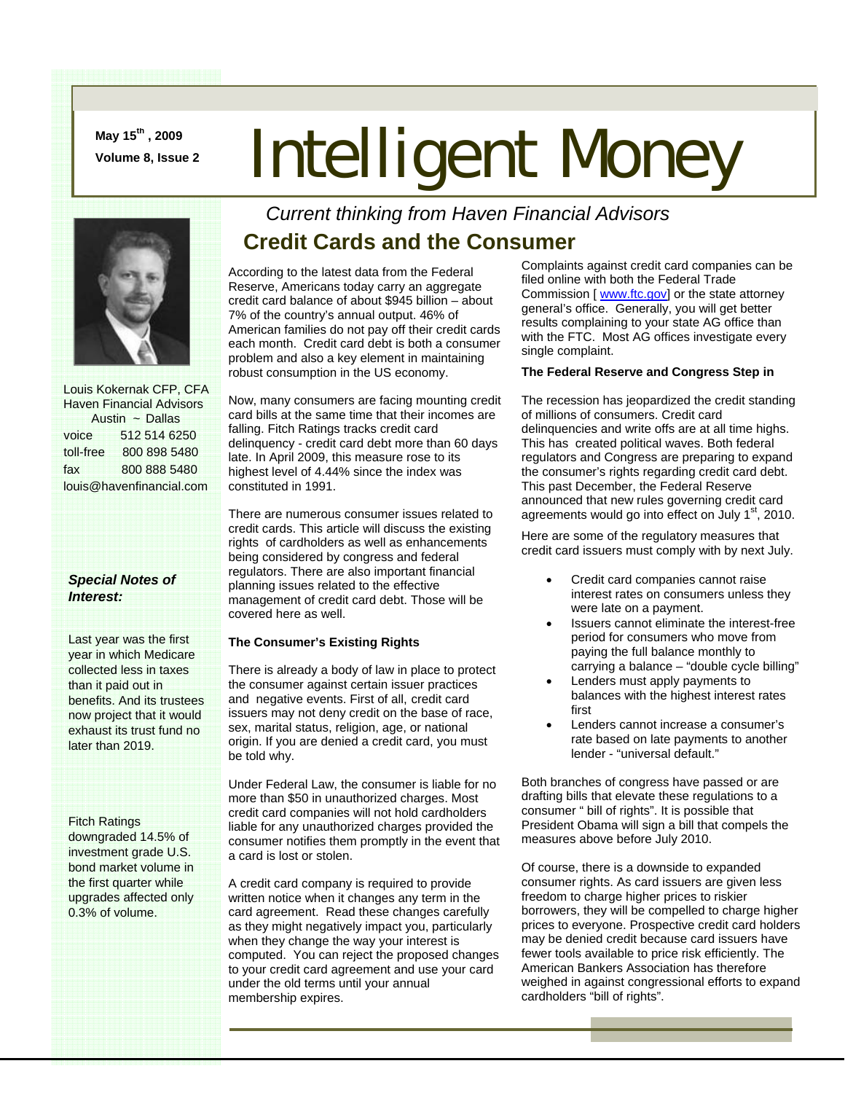**May 15th , 2009** 

# **May 15", 2009**<br>Volume 8, Issue 2 **Intelligent Money**



 Louis Kokernak CFP, CFA Haven Financial Advisors Austin ~ Dallas voice 512 514 6250 toll-free 800 898 5480 fax 800 888 5480 louis@havenfinancial.com

#### *Special Notes of Interest:*

Last year was the first year in which Medicare collected less in taxes than it paid out in benefits. And its trustees now project that it would exhaust its trust fund no later than 2019.

Fitch Ratings downgraded 14.5% of investment grade U.S. bond market volume in the first quarter while upgrades affected only 0.3% of volume.

## *Current thinking from Haven Financial Advisors*  **Credit Cards and the Consumer**

According to the latest data from the Federal Reserve, Americans today carry an aggregate credit card balance of about \$945 billion – about 7% of the country's annual output. 46% of American families do not pay off their credit cards each month. Credit card debt is both a consumer problem and also a key element in maintaining robust consumption in the US economy.

Now, many consumers are facing mounting credit card bills at the same time that their incomes are falling. Fitch Ratings tracks credit card delinquency - credit card debt more than 60 days late. In April 2009, this measure rose to its highest level of 4.44% since the index was constituted in 1991.

There are numerous consumer issues related to credit cards. This article will discuss the existing rights of cardholders as well as enhancements being considered by congress and federal regulators. There are also important financial planning issues related to the effective management of credit card debt. Those will be covered here as well.

#### **The Consumer's Existing Rights**

There is already a body of law in place to protect the consumer against certain issuer practices and negative events. First of all, credit card issuers may not deny credit on the base of race, sex, marital status, religion, age, or national origin. If you are denied a credit card, you must be told why.

Under Federal Law, the consumer is liable for no more than \$50 in unauthorized charges. Most credit card companies will not hold cardholders liable for any unauthorized charges provided the consumer notifies them promptly in the event that a card is lost or stolen.

A credit card company is required to provide written notice when it changes any term in the card agreement. Read these changes carefully as they might negatively impact you, particularly when they change the way your interest is computed. You can reject the proposed changes to your credit card agreement and use your card under the old terms until your annual membership expires.

Complaints against credit card companies can be filed online with both the Federal Trade Commission [ www.ftc.gov] or the state attorney general's office. Generally, you will get better results complaining to your state AG office than with the FTC. Most AG offices investigate every single complaint.

### **The Federal Reserve and Congress Step in**

The recession has jeopardized the credit standing of millions of consumers. Credit card delinquencies and write offs are at all time highs. This has created political waves. Both federal regulators and Congress are preparing to expand the consumer's rights regarding credit card debt. This past December, the Federal Reserve announced that new rules governing credit card agreements would go into effect on July  $1<sup>st</sup>$ , 2010.

Here are some of the regulatory measures that credit card issuers must comply with by next July.

- Credit card companies cannot raise interest rates on consumers unless they were late on a payment.
- Issuers cannot eliminate the interest-free period for consumers who move from paying the full balance monthly to carrying a balance – "double cycle billing"
- Lenders must apply payments to balances with the highest interest rates first
- Lenders cannot increase a consumer's rate based on late payments to another lender - "universal default."

Both branches of congress have passed or are drafting bills that elevate these regulations to a consumer " bill of rights". It is possible that President Obama will sign a bill that compels the measures above before July 2010.

Of course, there is a downside to expanded consumer rights. As card issuers are given less freedom to charge higher prices to riskier borrowers, they will be compelled to charge higher prices to everyone. Prospective credit card holders may be denied credit because card issuers have fewer tools available to price risk efficiently. The American Bankers Association has therefore weighed in against congressional efforts to expand cardholders "bill of rights".